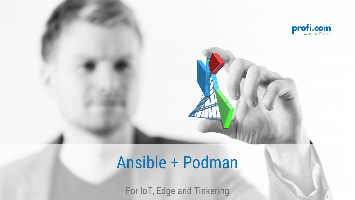

# Ansible + Podman

For IoT, Edge and Tinkering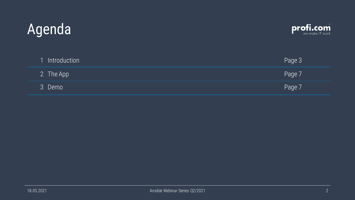# Agenda



| 1 Introduction | Page 3 |
|----------------|--------|
| 2 The App      | Page 7 |
| 3 Demo         | Page 7 |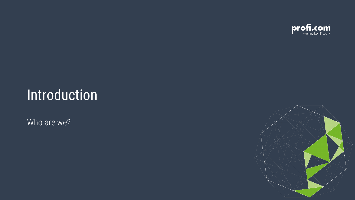

#### Introduction

Who are we?

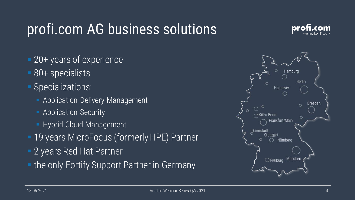## profi.com AG business solutions



- 20+ years of experience
- 80+ specialists
- Specializations:
	- **E** Application Delivery Management
	- **E** Application Security
	- **EXEC** Hybrid Cloud Management
- **19 years MicroFocus (formerly HPE) Partner**
- **E.** 2 years Red Hat Partner
- **. the only Fortify Support Partner in Germany**

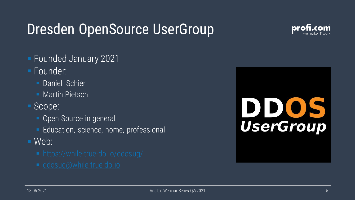### Dresden OpenSource UserGroup



- Founded January 2021
- Founder:
	- **Daniel Schier**
	- **Martin Pietsch**
- Scope:
	- **Open Source in general**
	- Education, science, home, professional
- Web:
	-
	-

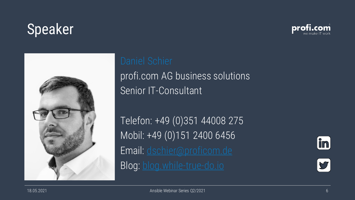### Speaker





# profi.com AG business solutions Senior IT-Consultant

Telefon: +49 (0)351 44008 275 Mobil: +49 (0)151 2400 6456 Email: [dschier@proficom.de](mailto:%20dschier@proficom.de) Blog: [blog.while-true-do.io](https://blog.while-true-do.io)



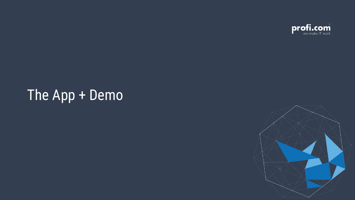

### The App + Demo

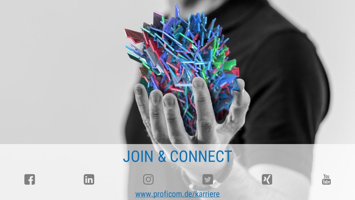

# JOIN & CONNECT













[www.proficom.de/karriere](http://www.proficom.de/karriere)